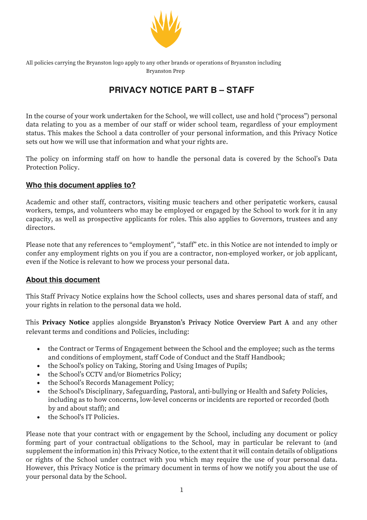

All policies carrying the Bryanston logo apply to any other brands or operations of Bryanston including Bryanston Prep

# **PRIVACY NOTICE PART B – STAFF**

In the course of your work undertaken for the School, we will collect, use and hold ("process") personal data relating to you as a member of our staff or wider school team, regardless of your employment status. This makes the School a data controller of your personal information, and this Privacy Notice sets out how we will use that information and what your rights are.

The policy on informing staff on how to handle the personal data is covered by the School's Data Protection Policy.

### **Who this document applies to?**

Academic and other staff, contractors, visiting music teachers and other peripatetic workers, causal workers, temps, and volunteers who may be employed or engaged by the School to work for it in any capacity, as well as prospective applicants for roles. This also applies to Governors, trustees and any directors.

Please note that any references to "employment", "staff" etc. in this Notice are not intended to imply or confer any employment rights on you if you are a contractor, non-employed worker, or job applicant, even if the Notice is relevant to how we process your personal data.

### **About this document**

This Staff Privacy Notice explains how the School collects, uses and shares personal data of staff, and your rights in relation to the personal data we hold.

This **Privacy Notice** applies alongside Bryanston's Privacy Notice Overview Part A and any other relevant terms and conditions and Policies, including:

- the Contract or Terms of Engagement between the School and the employee; such as the terms and conditions of employment, staff Code of Conduct and the Staff Handbook;
- the School's policy on Taking, Storing and Using Images of Pupils;
- the School's CCTV and/or Biometrics Policy;
- the School's Records Management Policy;
- the School's Disciplinary, Safeguarding, Pastoral, anti-bullying or Health and Safety Policies, including as to how concerns, low-level concerns or incidents are reported or recorded (both by and about staff); and
- the School's IT Policies.

Please note that your contract with or engagement by the School, including any document or policy forming part of your contractual obligations to the School, may in particular be relevant to (and supplement the information in) this Privacy Notice, to the extent that it will contain details of obligations or rights of the School under contract with you which may require the use of your personal data. However, this Privacy Notice is the primary document in terms of how we notify you about the use of your personal data by the School.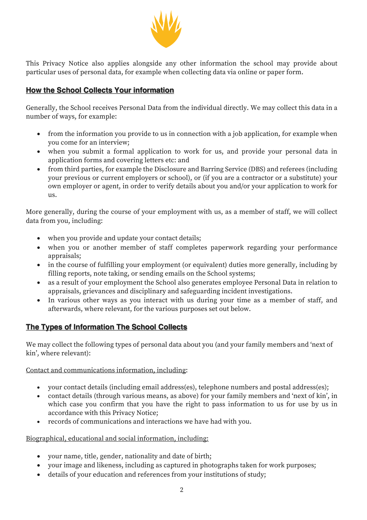

This Privacy Notice also applies alongside any other information the school may provide about particular uses of personal data, for example when collecting data via online or paper form.

### **How the School Collects Your information**

Generally, the School receives Personal Data from the individual directly. We may collect this data in a number of ways, for example:

- from the information you provide to us in connection with a job application, for example when you come for an interview;
- when you submit a formal application to work for us, and provide your personal data in application forms and covering letters etc: and
- from third parties, for example the Disclosure and Barring Service (DBS) and referees (including your previous or current employers or school), or (if you are a contractor or a substitute) your own employer or agent, in order to verify details about you and/or your application to work for us.

More generally, during the course of your employment with us, as a member of staff, we will collect data from you, including:

- when you provide and update your contact details;
- when you or another member of staff completes paperwork regarding your performance appraisals;
- in the course of fulfilling your employment (or equivalent) duties more generally, including by filling reports, note taking, or sending emails on the School systems;
- as a result of your employment the School also generates employee Personal Data in relation to appraisals, grievances and disciplinary and safeguarding incident investigations.
- In various other ways as you interact with us during your time as a member of staff, and afterwards, where relevant, for the various purposes set out below.

# **The Types of Information The School Collects**

We may collect the following types of personal data about you (and your family members and 'next of kin', where relevant):

### Contact and communications information, including:

- your contact details (including email address(es), telephone numbers and postal address(es);
- contact details (through various means, as above) for your family members and 'next of kin', in which case you confirm that you have the right to pass information to us for use by us in accordance with this Privacy Notice;
- records of communications and interactions we have had with you.

### Biographical, educational and social information, including:

- your name, title, gender, nationality and date of birth;
- your image and likeness, including as captured in photographs taken for work purposes;
- details of your education and references from your institutions of study;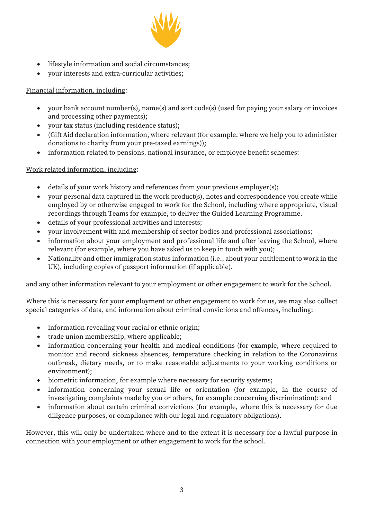

- lifestyle information and social circumstances;
- your interests and extra-curricular activities;

### Financial information, including:

- your bank account number(s), name(s) and sort code(s) (used for paying your salary or invoices and processing other payments);
- your tax status (including residence status);
- (Gift Aid declaration information, where relevant (for example, where we help you to administer donations to charity from your pre-taxed earnings));
- information related to pensions, national insurance, or employee benefit schemes:

### Work related information, including:

- details of your work history and references from your previous employer(s);
- your personal data captured in the work product(s), notes and correspondence you create while employed by or otherwise engaged to work for the School, including where appropriate, visual recordings through Teams for example, to deliver the Guided Learning Programme.
- details of your professional activities and interests;
- your involvement with and membership of sector bodies and professional associations;
- information about your employment and professional life and after leaving the School, where relevant (for example, where you have asked us to keep in touch with you);
- Nationality and other immigration status information (i.e., about your entitlement to work in the UK), including copies of passport information (if applicable).

and any other information relevant to your employment or other engagement to work for the School.

Where this is necessary for your employment or other engagement to work for us, we may also collect special categories of data, and information about criminal convictions and offences, including:

- information revealing your racial or ethnic origin;
- trade union membership, where applicable;
- information concerning your health and medical conditions (for example, where required to monitor and record sickness absences, temperature checking in relation to the Coronavirus outbreak, dietary needs, or to make reasonable adjustments to your working conditions or environment);
- biometric information, for example where necessary for security systems;
- information concerning your sexual life or orientation (for example, in the course of investigating complaints made by you or others, for example concerning discrimination): and
- information about certain criminal convictions (for example, where this is necessary for due diligence purposes, or compliance with our legal and regulatory obligations).

However, this will only be undertaken where and to the extent it is necessary for a lawful purpose in connection with your employment or other engagement to work for the school.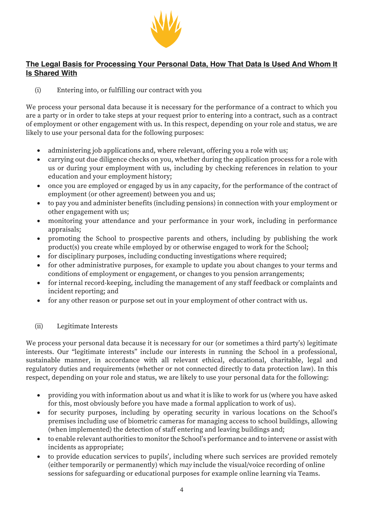

## **The Legal Basis for Processing Your Personal Data, How That Data Is Used And Whom It Is Shared With**

(i) Entering into, or fulfilling our contract with you

We process your personal data because it is necessary for the performance of a contract to which you are a party or in order to take steps at your request prior to entering into a contract, such as a contract of employment or other engagement with us. In this respect, depending on your role and status, we are likely to use your personal data for the following purposes:

- administering job applications and, where relevant, offering you a role with us;
- carrying out due diligence checks on you, whether during the application process for a role with us or during your employment with us, including by checking references in relation to your education and your employment history;
- once you are employed or engaged by us in any capacity, for the performance of the contract of employment (or other agreement) between you and us;
- to pay you and administer benefits (including pensions) in connection with your employment or other engagement with us;
- monitoring your attendance and your performance in your work, including in performance appraisals;
- promoting the School to prospective parents and others, including by publishing the work product(s) you create while employed by or otherwise engaged to work for the School;
- for disciplinary purposes, including conducting investigations where required;
- for other administrative purposes, for example to update you about changes to your terms and conditions of employment or engagement, or changes to you pension arrangements;
- for internal record-keeping, including the management of any staff feedback or complaints and incident reporting; and
- for any other reason or purpose set out in your employment of other contract with us.

### (ii) Legitimate Interests

We process your personal data because it is necessary for our (or sometimes a third party's) legitimate interests. Our "legitimate interests" include our interests in running the School in a professional, sustainable manner, in accordance with all relevant ethical, educational, charitable, legal and regulatory duties and requirements (whether or not connected directly to data protection law). In this respect, depending on your role and status, we are likely to use your personal data for the following:

- providing you with information about us and what it is like to work for us (where you have asked for this, most obviously before you have made a formal application to work of us).
- for security purposes, including by operating security in various locations on the School's premises including use of biometric cameras for managing access to school buildings, allowing (when implemented) the detection of staff entering and leaving buildings and;
- to enable relevant authorities to monitor the School's performance and to intervene or assist with incidents as appropriate;
- to provide education services to pupils', including where such services are provided remotely (either temporarily or permanently) which *may* include the visual/voice recording of online sessions for safeguarding or educational purposes for example online learning via Teams.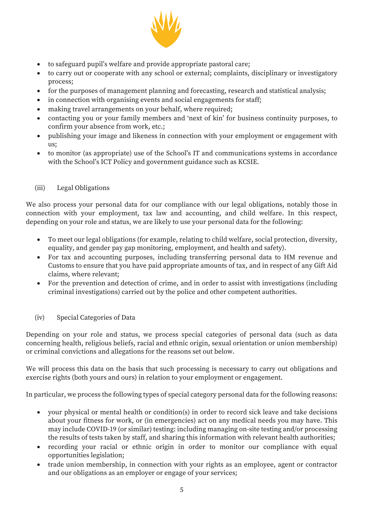

- to safeguard pupil's welfare and provide appropriate pastoral care;
- to carry out or cooperate with any school or external; complaints, disciplinary or investigatory process;
- for the purposes of management planning and forecasting, research and statistical analysis;
- in connection with organising events and social engagements for staff;
- making travel arrangements on your behalf, where required;
- contacting you or your family members and 'next of kin' for business continuity purposes, to confirm your absence from work, etc.;
- publishing your image and likeness in connection with your employment or engagement with us;
- to monitor (as appropriate) use of the School's IT and communications systems in accordance with the School's ICT Policy and government guidance such as KCSIE.

### (iii) Legal Obligations

We also process your personal data for our compliance with our legal obligations, notably those in connection with your employment, tax law and accounting, and child welfare. In this respect, depending on your role and status, we are likely to use your personal data for the following:

- To meet our legal obligations (for example, relating to child welfare, social protection, diversity, equality, and gender pay gap monitoring, employment, and health and safety).
- For tax and accounting purposes, including transferring personal data to HM revenue and Customs to ensure that you have paid appropriate amounts of tax, and in respect of any Gift Aid claims, where relevant;
- For the prevention and detection of crime, and in order to assist with investigations (including criminal investigations) carried out by the police and other competent authorities.
- (iv) Special Categories of Data

Depending on your role and status, we process special categories of personal data (such as data concerning health, religious beliefs, racial and ethnic origin, sexual orientation or union membership) or criminal convictions and allegations for the reasons set out below.

We will process this data on the basis that such processing is necessary to carry out obligations and exercise rights (both yours and ours) in relation to your employment or engagement.

In particular, we process the following types of special category personal data for the following reasons:

- your physical or mental health or condition(s) in order to record sick leave and take decisions about your fitness for work, or (in emergencies) act on any medical needs you may have. This may include COVID-19 (or similar) testing: including managing on-site testing and/or processing the results of tests taken by staff, and sharing this information with relevant health authorities;
- recording your racial or ethnic origin in order to monitor our compliance with equal opportunities legislation;
- trade union membership, in connection with your rights as an employee, agent or contractor and our obligations as an employer or engage of your services;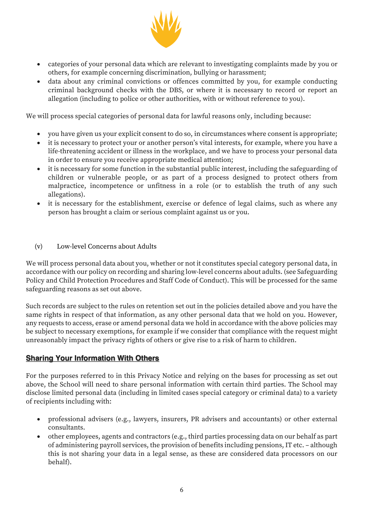

- categories of your personal data which are relevant to investigating complaints made by you or others, for example concerning discrimination, bullying or harassment;
- data about any criminal convictions or offences committed by you, for example conducting criminal background checks with the DBS, or where it is necessary to record or report an allegation (including to police or other authorities, with or without reference to you).

We will process special categories of personal data for lawful reasons only, including because:

- you have given us your explicit consent to do so, in circumstances where consent is appropriate;
- it is necessary to protect your or another person's vital interests, for example, where you have a life-threatening accident or illness in the workplace, and we have to process your personal data in order to ensure you receive appropriate medical attention;
- it is necessary for some function in the substantial public interest, including the safeguarding of children or vulnerable people, or as part of a process designed to protect others from malpractice, incompetence or unfitness in a role (or to establish the truth of any such allegations).
- it is necessary for the establishment, exercise or defence of legal claims, such as where any person has brought a claim or serious complaint against us or you.
- (v) Low-level Concerns about Adults

We will process personal data about you, whether or not it constitutes special category personal data, in accordance with our policy on recording and sharing low-level concerns about adults. (see Safeguarding Policy and Child Protection Procedures and Staff Code of Conduct). This will be processed for the same safeguarding reasons as set out above.

Such records are subject to the rules on retention set out in the policies detailed above and you have the same rights in respect of that information, as any other personal data that we hold on you. However, any requests to access, erase or amend personal data we hold in accordance with the above policies may be subject to necessary exemptions, for example if we consider that compliance with the request might unreasonably impact the privacy rights of others or give rise to a risk of harm to children.

### **Sharing Your Information With Others**

For the purposes referred to in this Privacy Notice and relying on the bases for processing as set out above, the School will need to share personal information with certain third parties. The School may disclose limited personal data (including in limited cases special category or criminal data) to a variety of recipients including with:

- professional advisers (e.g., lawyers, insurers, PR advisers and accountants) or other external consultants.
- other employees, agents and contractors (e.g., third parties processing data on our behalf as part of administering payroll services, the provision of benefits including pensions, IT etc. – although this is not sharing your data in a legal sense, as these are considered data processors on our behalf).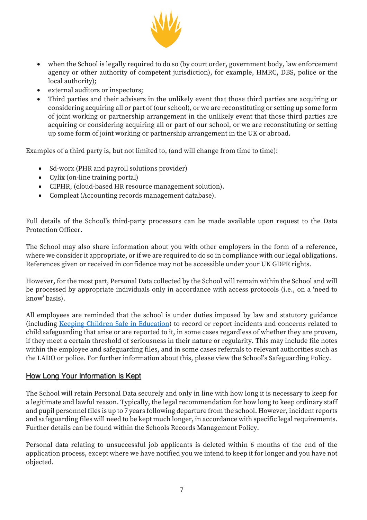

- when the School is legally required to do so (by court order, government body, law enforcement agency or other authority of competent jurisdiction), for example, HMRC, DBS, police or the local authority);
- external auditors or inspectors;
- Third parties and their advisers in the unlikely event that those third parties are acquiring or considering acquiring all or part of (our school), or we are reconstituting or setting up some form of joint working or partnership arrangement in the unlikely event that those third parties are acquiring or considering acquiring all or part of our school, or we are reconstituting or setting up some form of joint working or partnership arrangement in the UK or abroad.

Examples of a third party is, but not limited to, (and will change from time to time):

- Sd-worx (PHR and payroll solutions provider)
- Cylix (on-line training portal)
- CIPHR, (cloud-based HR resource management solution).
- Compleat (Accounting records management database).

Full details of the School's third-party processors can be made available upon request to the Data Protection Officer.

The School may also share information about you with other employers in the form of a reference, where we consider it appropriate, or if we are required to do so in compliance with our legal obligations. References given or received in confidence may not be accessible under your UK GDPR rights.

However, for the most part, Personal Data collected by the School will remain within the School and will be processed by appropriate individuals only in accordance with access protocols (i.e., on a 'need to know' basis).

All employees are reminded that the school is under duties imposed by law and statutory guidance (including Keeping Children Safe in Education) to record or report incidents and concerns related to child safeguarding that arise or are reported to it, in some cases regardless of whether they are proven, if they meet a certain threshold of seriousness in their nature or regularity. This may include file notes within the employee and safeguarding files, and in some cases referrals to relevant authorities such as the LADO or police. For further information about this, please view the School's Safeguarding Policy.

### How Long Your Information Is Kept

The School will retain Personal Data securely and only in line with how long it is necessary to keep for a legitimate and lawful reason. Typically, the legal recommendation for how long to keep ordinary staff and pupil personnel files is up to 7 years following departure from the school. However, incident reports and safeguarding files will need to be kept much longer, in accordance with specific legal requirements. Further details can be found within the Schools Records Management Policy.

Personal data relating to unsuccessful job applicants is deleted within 6 months of the end of the application process, except where we have notified you we intend to keep it for longer and you have not objected.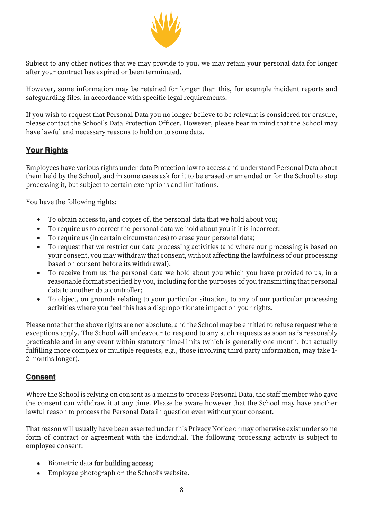

Subject to any other notices that we may provide to you, we may retain your personal data for longer after your contract has expired or been terminated.

However, some information may be retained for longer than this, for example incident reports and safeguarding files, in accordance with specific legal requirements.

If you wish to request that Personal Data you no longer believe to be relevant is considered for erasure, please contact the School's Data Protection Officer. However, please bear in mind that the School may have lawful and necessary reasons to hold on to some data.

# **Your Rights**

Employees have various rights under data Protection law to access and understand Personal Data about them held by the School, and in some cases ask for it to be erased or amended or for the School to stop processing it, but subject to certain exemptions and limitations.

You have the following rights:

- To obtain access to, and copies of, the personal data that we hold about you;
- To require us to correct the personal data we hold about you if it is incorrect;
- To require us (in certain circumstances) to erase your personal data;
- To request that we restrict our data processing activities (and where our processing is based on your consent, you may withdraw that consent, without affecting the lawfulness of our processing based on consent before its withdrawal).
- To receive from us the personal data we hold about you which you have provided to us, in a reasonable format specified by you, including for the purposes of you transmitting that personal data to another data controller;
- To object, on grounds relating to your particular situation, to any of our particular processing activities where you feel this has a disproportionate impact on your rights.

Please note that the above rights are not absolute, and the School may be entitled to refuse request where exceptions apply. The School will endeavour to respond to any such requests as soon as is reasonably practicable and in any event within statutory time-limits (which is generally one month, but actually fulfilling more complex or multiple requests, e.g., those involving third party information, may take 1- 2 months longer).

### **Consent**

Where the School is relying on consent as a means to process Personal Data, the staff member who gave the consent can withdraw it at any time. Please be aware however that the School may have another lawful reason to process the Personal Data in question even without your consent.

That reason will usually have been asserted under this Privacy Notice or may otherwise exist under some form of contract or agreement with the individual. The following processing activity is subject to employee consent:

- Biometric data for building access;
- Employee photograph on the School's website.